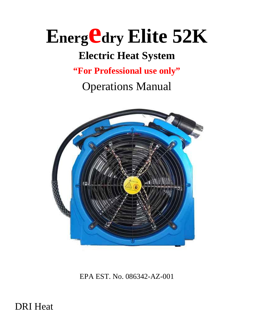## **<sup>E</sup>nergedry Elite 52K**

### **Electric Heat System**

**"For Professional use only"**

Operations Manual



EPA EST. No. 086342-AZ-001

DRI Heat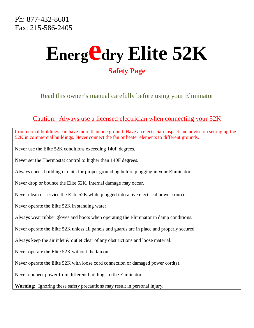### **<sup>E</sup>nergedry Elite 52K Safety Page**

Read this owner's manual carefully before using your Eliminator

#### Caution: Always use a licensed electrician when connecting your 52K

Commercial buildings can have more than one ground. Have an electrician inspect and advise on setting up the 52K in commercial buildings. Never connect the fan or heater elements to different grounds.

Never use the Elite 52K conditions exceeding 140F degrees.

Never set the Thermostat control to higher than 140F degrees.

Always check building circuits for proper grounding before plugging in your Eliminator.

Never drop or bounce the Elite 52K. Internal damage may occur.

Never clean or service the Elite 52K while plugged into a live electrical power source.

Never operate the Elite 52K in standing water.

Always wear rubber gloves and boots when operating the Eliminator in damp conditions.

Never operate the Elite 52K unless all panels and guards are in place and properly secured.

Always keep the air inlet & outlet clear of any obstructions and loose material.

Never operate the Elite 52K without the fan on.

Never operate the Elite 52K with loose cord connection or damaged power cord(s).

Never connect power from different buildings to the Eliminator.

**Warning:** Ignoring these safety precautions may result in personal injury.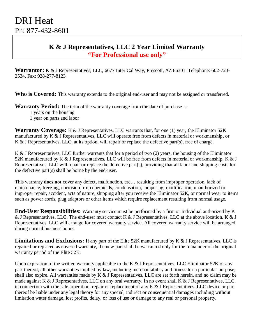#### **K & J Representatives, LLC 2 Year Limited Warranty "For Professional use only"**

**Warrantor:** K & J Representatives, LLC, 6677 Inter Cal Way, Prescott, AZ 86301. Telephone: 602-723- 2534, Fax: 928-277-8123

**Who is Covered:** This warranty extends to the original end-user and may not be assigned or transferred.

**Warranty Period:** The term of the warranty coverage from the date of purchase is:

1 years on the housing

1 year on parts and labor

**Warranty Coverage:** K & J Representatives, LLC warrants that, for one (1) year, the Eliminator 52K manufactured by K & J Representatives, LLC will operate free from defects in material or workmanship, or K & J Representatives, LLC, at its option, will repair or replace the defective part(s), free of charge.

K & J Representatives, LLC further warrants that for a period of two (2) years, the housing of the Eliminator 52K manufactured by K & J Representatives, LLC will be free from defects in material or workmanship, K & J Representatives, LLC will repair or replace the defective part(s), providing that all labor and shipping costs for the defective part(s) shall be borne by the end-user.

This warranty **does not** cover any defect, malfunction, etc… resulting from improper operation, lack of maintenance, freezing, corrosion from chemicals, condensation, tampering, modification, unauthorized or improper repair, accident, acts of nature, shipping after you receive the Eliminator 52K, or normal wear to items such as power cords, plug adaptors or other items which require replacement resulting from normal usage.

**End-User Responsibilities:** Warranty service must be performed by a firm or Individual authorized by K & J Representatives, LLC. The end-user must contact K & J Representatives, LLC at the above location. K & J Representatives, LLC will arrange for covered warranty service. All covered warranty service will be arranged during normal business hours.

**Limitations and Exclusions:** If any part of the Elite 52K manufactured by K & J Representatives, LLC is repaired or replaced as covered warranty, the new part shall be warranted only for the remainder of the original warranty period of the Elite 52K.

Upon expiration of the written warranty applicable to the K  $\&$  J Representatives, LLC Eliminator 52K or any part thereof, all other warranties implied by law, including merchantability and fitness for a particular purpose, shall also expire. All warranties made by K & J Representatives, LLC are set forth herein, and no claim may be made against K & J Representatives, LLC on any oral warranty. In no event shall K & J Representatives, LLC, in connection with the sale, operation, repair or replacement of any K & J Representatives, LLC device or part thereof be liable under any legal theory for any special, indirect or consequential damages including without limitation water damage, lost profits, delay, or loss of use or damage to any real or personal property.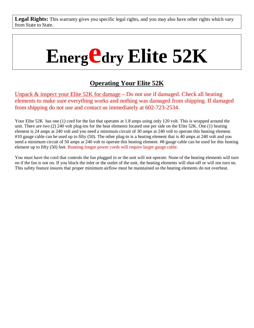Legal Rights: This warranty gives you specific legal rights, and you may also have other rights which vary from State to State.

# **<sup>E</sup>nergedry Elite 52K**

#### **Operating Your Elite 52K**

Unpack & inspect your Elite 52K for damage – Do not use if damaged. Check all heating elements to make sure everything works and nothing was damaged from shipping. If damaged from shipping do not use and contact us immediately at 602-723-2534.

Your Elite 52K has one (1) cord for the fan that operates at 1.8 amps using only 120 volt. This is wrapped around the unit. There are two (2) 240 volt plug-ins for the heat elements located one per side on the Elite 52K. One (1) heating element is 24 amps at 240 volt and you need a minimum circuit of 30 amps at 240 volt to operate this heating element. #10 gauge cable can be used up to fifty (50). The other plug-in is a heating element that is 40 amps at 240 volt and you need a minimum circuit of 50 amps at 240 volt to operate this heating element. #8 gauge cable can be used for this heating element up to fifty (50) feet. Running longer power cords will require larger gauge cable.

You must have the cord that controls the fan plugged in or the unit will not operate. None of the heating elements will turn on if the fan is not on. If you block the inlet or the outlet of the unit, the heating elements will shut-off or will not turn on. This safety feature insures that proper minimum airflow must be maintained so the heating elements do not overheat.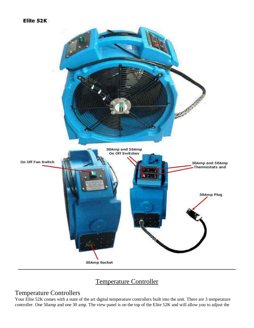#### Elite 52K



#### Temperature Controller

#### Temperature Controllers

Your Elite 52K comes with a state of the art digital temperature controllers built into the unit. There are 3 temperature controller. One 50amp and one 30 amp. The view panel is on the top of the Elite 52K and will allow you to adjust the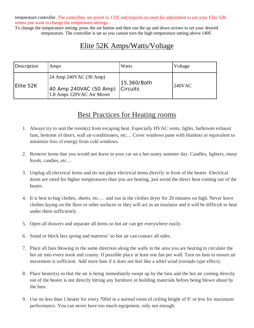temperature controller. The controllers are preset to 132F and requires no need for adjustment to use your Elite 52K unless you want to change the temperature settings.

To change the temperature setting; press the set button and then use the up and down arrows to set your desired temperature. The controller is set so you cannot turn the high temperature setting above 140F.

#### Elite 52K Amps/Watts/Voltage

| Description | Amps                                                                          | Watts                          | Voltage   |
|-------------|-------------------------------------------------------------------------------|--------------------------------|-----------|
| Elite 52K   | 24 Amp 240VAC (30 Amp)<br>40 Amp 240VAC (50 Amp)<br>1.8 Amps 120VAC Air Mover | 15,360/Both<br><b>Circuits</b> | $240$ VAC |

#### Best Practices for Heating rooms

- 1. Always try to seal the room(s) from escaping heat. Especially HVAC vents, lights, bathroom exhaust fans, bottoms of doors, wall air-conditioners, etc… Cover windows pane with blankets or equivalent to minimize loss of energy from cold windows.
- 2. Remove items that you would not leave in your car on a hot sunny summer day. Candles, lighters, many foods, candies, etc…
- 3. Unplug all electrical items and do not place electrical items directly in front of the heater. Electrical items are rated for higher temperatures than you are heating, just avoid the direct heat coming out of the heater.
- 4. It is best to bag clothes, sheets, etc… and run in the clothes dryer for 20 minutes on high. Never leave clothes laying on the floor or other surfaces or they will act as an insulator and it will be difficult to heat under them sufficiently.
- 5. Open all drawers and separate all items so hot air can get everywhere easily.
- 6. Stand or block box spring and mattress' so hot air can contact all sides.
- 7. Place all fans blowing in the same direction along the walls in the area you are heating to circulate the hot air into every nook and cranny. If possible place at least one fan per wall. Turn on fans to ensure air movement is sufficient. Add more fans if it does not feel like a whirl wind (tornado type effect).
- 8. Place heater(s) so that the air is being immediately swept up by the fans and the hot air coming directly out of the heater is not directly hitting any furniture or building materials before being blown about by the fans.
- 9. Use no less than 1 heater for every 700sf in a normal room of ceiling height of 9' or less for maximum performance. You can never have too much equipment, only not enough.